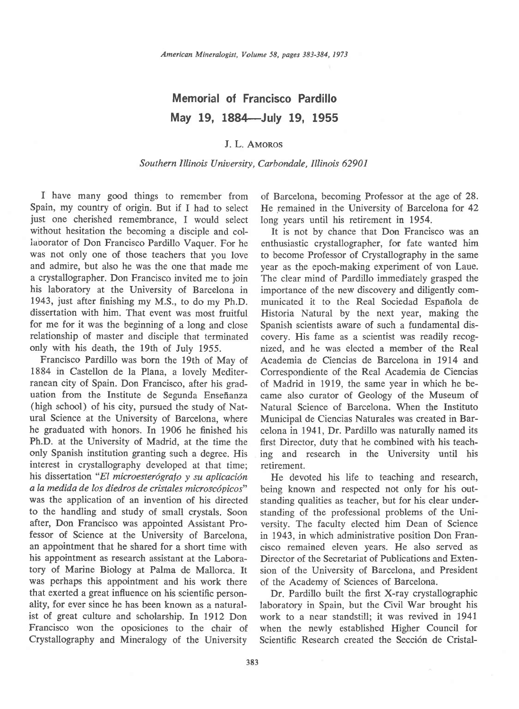## Memorial of Francisco Pardillo May 19, 1884-July 19, 1955

## J. L. AMOROS

## Southern Illinois University, Carbondale, Illinois 62901

I have many good things to remember from Spain, my country of origin. But if I had to select just one cherished remernbrance, I would select without hesitation the becoming a disciple and collaborator of Don Francisco Pardillo Vaquer. For he was not only one of those teachers that you love and admire, but also he was the one that made me a crystallographer. Don Francisco invited me to join his laboratory at the University of Barcelona in 1943, just after finishing my M.S., to do my Ph.D. dissertation with him. That event was most fruitful for me for it was the beginning of a long and close relationship of master and disciple that terminated only with his death, the 19th of July 1955.

Francisco Pardillo was born the 19th of May of 1884 in Castellon de la Plana, a lovely Mediterranean city of Spain. Don Francisco, after his graduation from the Institute de Segunda Enseñanza (high school) of his city, pursued the study of Natural Science at the University of Barcelona, where he graduated with honors. In 1906 he finished his Ph.D. at the University of Madrid, at the time the only Spanish institution granting such a degree. His interest in crystallography developed at that time; his dissertation "El microesterógrafo y su aplicación a la medida de los diedros de cristales microscópicos" was the application of an invention of his directed to the handling and study of small crystals. Soon after, Don Francisco was appointed Assistant Professor of Science at the University of Barcelona, an appointment that he shared for a short time with his appointment as research assistant at the Laboratory of Marine Biology at Palma de Mallorca. It was perhaps this appointment and his work there that exerted a great influence on his scientific personality, for ever since he has been known as a naturalist of great culture and scholarship. In 1912 Don Francisco won the oposiciones to the chair of Crystallography and Mineralogy of the University

of Barcelona, becoming Professor at the age of.28. He remained in the University of Barcelona for 42 long years until his retirement in 1954.

It is not by chance that Don Francisco was an enthusiastic crystallographer, for fate wanted him to becorne Professor of Crystallography in the same year as the epoch-making experiment of von Laue. The clear mind of Pardillo immediately grasped the importance of the new discovery and diligently communicated it to the Real Sociedad Espaflola de Historia Natural by the next year, making the Spanish scientists aware of such a fundamental discovery. His fame as a scientist was readily recognized. and he was elected a member of the Real Academia de Ciencias de Barcelona in 1914 and Correspondiente of the Real Academia de Ciencias of Madrid in 1919, the same year in which he became also curator of Geology of the Museum of Natural Science of Barcelona. When the Instituto Municipal de Ciencias Naturales was created in Barcelona in 1941, Dr. Pardillo was naturally named its first Director, duty that he combined with his teaching and research in the University until his retirement.

He devoted his life to teaching and research, being known and respected not only for his outstanding qualities as teacher, but for his clear understanding of the professional problems of the University. The faculty elected him Dean of Science in 1943, in which administrative position Don Francisco remained eleven years. He also served as Director of the Secretariat of Publications and Extension of the University of Barcelona, and President of the Academy of Sciences of Barcelona.

Dr. Pardillo built the first X-ray crystallographic laboratory in Spain, but the Civil War brought his work to a near standstill; it was revived in 1941 when the newly established Higher Council for Scientific Research created the Sección de Cristal